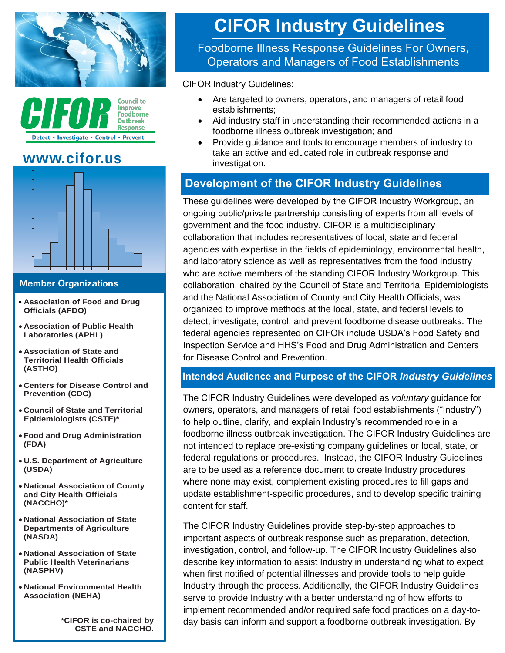



# **[www.cifor.us](http://www.cifor.us/)**



#### **Member Organizations**

- **Association of Food and Drug Officials (AFDO)**
- **Association of Public Health Laboratories (APHL)**
- **Association of State and Territorial Health Officials (ASTHO)**
- **Centers for Disease Control and Prevention (CDC)**
- **Council of State and Territorial Epidemiologists (CSTE)\***
- **Food and Drug Administration (FDA)**
- **U.S. Department of Agriculture (USDA)**
- **National Association of County and City Health Officials (NACCHO)\***
- **National Association of State Departments of Agriculture (NASDA)**
- **National Association of State Public Health Veterinarians (NASPHV)**
- **National Environmental Health Association (NEHA)**

**\*CIFOR is co-chaired by CSTE and NACCHO.** 

# **CIFOR Industry Guidelines**

Foodborne Illness Response Guidelines For Owners, Operators and Managers of Food Establishments

CIFOR Industry Guidelines:

- Are targeted to owners, operators, and managers of retail food establishments;
- Aid industry staff in understanding their recommended actions in a foodborne illness outbreak investigation; and
- Provide guidance and tools to encourage members of industry to take an active and educated role in outbreak response and investigation.

## **Development of the CIFOR Industry Guidelines**

These guideilnes were developed by the CIFOR Industry Workgroup, an ongoing public/private partnership consisting of experts from all levels of government and the food industry. CIFOR is a multidisciplinary collaboration that includes representatives of local, state and federal agencies with expertise in the fields of epidemiology, environmental health, and laboratory science as well as representatives from the food industry who are active members of the standing CIFOR Industry Workgroup. This collaboration, chaired by the Council of State and Territorial Epidemiologists and the National Association of County and City Health Officials, was organized to improve methods at the local, state, and federal levels to detect, investigate, control, and prevent foodborne disease outbreaks. The federal agencies represented on CIFOR include USDA's Food Safety and Inspection Service and HHS's Food and Drug Administration and Centers for Disease Control and Prevention.

#### **Intended Audience and Purpose of the CIFOR** *Industry Guidelines*

The CIFOR Industry Guidelines were developed as *voluntary* guidance for owners, operators, and managers of retail food establishments ("Industry") to help outline, clarify, and explain Industry's recommended role in a foodborne illness outbreak investigation. The CIFOR Industry Guidelines are not intended to replace pre-existing company guidelines or local, state, or federal regulations or procedures. Instead, the CIFOR Industry Guidelines are to be used as a reference document to create Industry procedures where none may exist, complement existing procedures to fill gaps and update establishment-specific procedures, and to develop specific training content for staff.

The CIFOR Industry Guidelines provide step-by-step approaches to important aspects of outbreak response such as preparation, detection, investigation, control, and follow-up. The CIFOR Industry Guidelines also describe key information to assist Industry in understanding what to expect when first notified of potential illnesses and provide tools to help guide Industry through the process. Additionally, the CIFOR Industry Guidelines serve to provide Industry with a better understanding of how efforts to implement recommended and/or required safe food practices on a day-today basis can inform and support a foodborne outbreak investigation. By